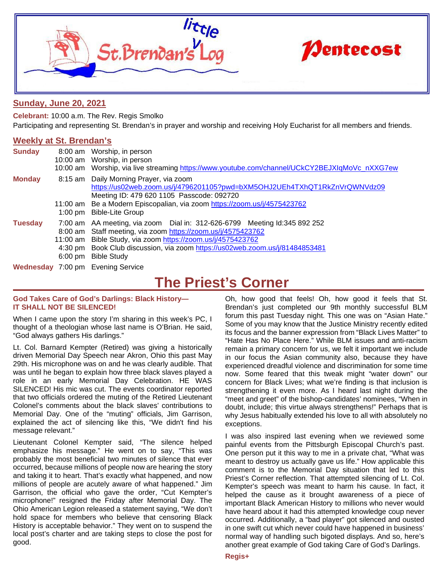

## **Sunday, June 20, 2021**

**Celebrant:** 10:00 a.m. The Rev. Regis Smolko Participating and representing St. Brendan's in prayer and worship and receiving Holy Eucharist for all members and friends.

## **Weekly at St. Brendan's**

| <b>Sunday</b>  |                   | 8:00 am Worship, in person<br>10:00 am Worship, in person<br>10:00 am Worship, via live streaming https://www.youtube.com/channel/UCkCY2BEJXIqMoVc nXXG7ew                                                                                                                                                     |
|----------------|-------------------|----------------------------------------------------------------------------------------------------------------------------------------------------------------------------------------------------------------------------------------------------------------------------------------------------------------|
| <b>Monday</b>  |                   | 8:15 am Daily Morning Prayer, via zoom<br>https://us02web.zoom.us/j/4796201105?pwd=bXM5OHJ2UEh4TXhQT1RkZnVrQWNVdz09<br>Meeting ID: 479 620 1105 Passcode: 092720                                                                                                                                               |
|                |                   | 11:00 am Be a Modern Episcopalian, via zoom https://zoom.us/j/4575423762<br>1:00 pm Bible-Lite Group                                                                                                                                                                                                           |
| <b>Tuesday</b> | $6:00 \text{ pm}$ | 7:00 am AA meeting, via zoom Dial in: 312-626-6799 Meeting Id:345 892 252<br>8:00 am Staff meeting, via zoom https://zoom.us/j/4575423762<br>11:00 am Bible Study, via zoom https://zoom.us/j/4575423762<br>4:30 pm Book Club discussion, via zoom https://us02web.zoom.us/j/81484853481<br><b>Bible Study</b> |
|                |                   | Wednesday 7:00 pm Evening Service                                                                                                                                                                                                                                                                              |

## **The Priest's Corner**

### **God Takes Care of God's Darlings: Black History— IT SHALL NOT BE SILENCED!**

When I came upon the story I'm sharing in this week's PC, I thought of a theologian whose last name is O'Brian. He said, "God always gathers His darlings."

Lt. Col. Barnard Kempter (Retired) was giving a historically driven Memorial Day Speech near Akron, Ohio this past May 29th. His microphone was on and he was clearly audible. That was until he began to explain how three black slaves played a role in an early Memorial Day Celebration. HE WAS SILENCED! His mic was cut. The events coordinator reported that two officials ordered the muting of the Retired Lieutenant Colonel's comments about the black slaves' contributions to Memorial Day. One of the "muting" officials, Jim Garrison, explained the act of silencing like this, "We didn't find his message relevant."

Lieutenant Colonel Kempter said, "The silence helped emphasize his message." He went on to say, "This was probably the most beneficial two minutes of silence that ever occurred, because millions of people now are hearing the story and taking it to heart. That's exactly what happened, and now millions of people are acutely aware of what happened." Jim Garrison, the official who gave the order, "Cut Kempter's microphone!" resigned the Friday after Memorial Day. The Ohio American Legion released a statement saying, "We don't hold space for members who believe that censoring Black History is acceptable behavior." They went on to suspend the local post's charter and are taking steps to close the post for good.

Oh, how good that feels! Oh, how good it feels that St. Brendan's just completed our 9th monthly successful BLM forum this past Tuesday night. This one was on "Asian Hate." Some of you may know that the Justice Ministry recently edited its focus and the banner expression from "Black Lives Matter" to "Hate Has No Place Here." While BLM issues and anti-racism remain a primary concern for us, we felt it important we include in our focus the Asian community also, because they have experienced dreadful violence and discrimination for some time now. Some feared that this tweak might "water down" our concern for Black Lives; what we're finding is that inclusion is strengthening it even more. As I heard last night during the "meet and greet" of the bishop-candidates' nominees, "When in doubt, include; this virtue always strengthens!" Perhaps that is why Jesus habitually extended his love to all with absolutely no exceptions.

I was also inspired last evening when we reviewed some painful events from the Pittsburgh Episcopal Church's past. One person put it this way to me in a private chat, "What was meant to destroy us actually gave us life." How applicable this comment is to the Memorial Day situation that led to this Priest's Corner reflection. That attempted silencing of Lt. Col. Kempter's speech was meant to harm his cause. In fact, it helped the cause as it brought awareness of a piece of important Black American History to millions who never would have heard about it had this attempted knowledge coup never occurred. Additionally, a "bad player" got silenced and ousted in one swift cut which never could have happened in business' normal way of handling such bigoted displays. And so, here's another great example of God taking Care of God's Darlings.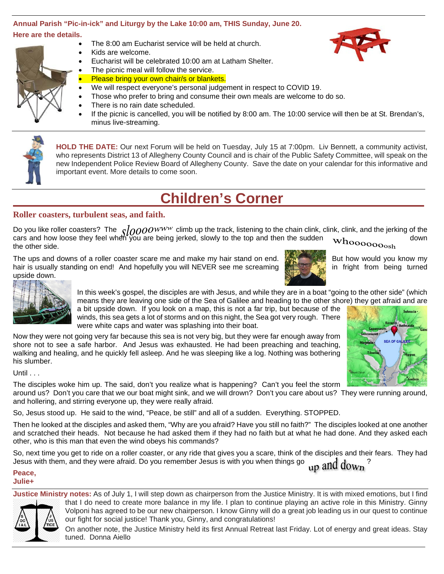### **Annual Parish "Pic-in-ick" and Liturgy by the Lake 10:00 am, THIS Sunday, June 20. Here are the details.**



- The 8:00 am Eucharist service will be held at church.
- Kids are welcome.
- Eucharist will be celebrated 10:00 am at Latham Shelter.
- The picnic meal will follow the service. Please bring your own chair/s or blankets.
- We will respect everyone's personal judgement in respect to COVID 19.
- Those who prefer to bring and consume their own meals are welcome to do so.
- There is no rain date scheduled.
- If the picnic is cancelled, you will be notified by 8:00 am. The 10:00 service will then be at St. Brendan's, minus live-streaming.

**HOLD THE DATE:** Our next Forum will be held on Tuesday, July 15 at 7:00pm. Liv Bennett, a community activist, who represents District 13 of Allegheny County Council and is chair of the Public Safety Committee, will speak on the new Independent Police Review Board of Allegheny County. Save the date on your calendar for this informative and important event. More details to come soon.

# **Children's Corner**

## **Roller coasters, turbulent seas, and faith.**

Do you like roller coasters? The  $\varsigma/\rho\rho\overline{\rho}OW^{WW}$  climb up the track, listening to the chain clink, clink, clink, and the jerking of the cars and how loose they feel when you are being jerked, slowly to the top and then the sudden  $\mathbf{w}_i$ the other side.

The ups and downs of a roller coaster scare me and make my hair stand on end. **But we are seen but how would you know my** hair is usually standing on end! And hopefully you will NEVER see me screaming in fright from being turned upside down.





In this week's gospel, the disciples are with Jesus, and while they are in a boat "going to the other side" (which means they are leaving one side of the Sea of Galilee and heading to the other shore) they get afraid and are

a bit upside down. If you look on a map, this is not a far trip, but because of the winds, this sea gets a lot of storms and on this night, the Sea got very rough. There were white caps and water was splashing into their boat.

Now they were not going very far because this sea is not very big, but they were far enough away from shore not to see a safe harbor. And Jesus was exhausted. He had been preaching and teaching, walking and healing, and he quickly fell asleep. And he was sleeping like a log. Nothing was bothering his slumber.

### $U$ ntil  $\ldots$

The disciples woke him up. The said, don't you realize what is happening? Can't you feel the storm

around us? Don't you care that we our boat might sink, and we will drown? Don't you care about us? They were running around, and hollering, and stirring everyone up, they were really afraid.

So, Jesus stood up. He said to the wind, "Peace, be still" and all of a sudden. Everything. STOPPED.

Then he looked at the disciples and asked them, "Why are you afraid? Have you still no faith?" The disciples looked at one another and scratched their heads. Not because he had asked them if they had no faith but at what he had done. And they asked each other, who is this man that even the wind obeys his commands?

So, next time you get to ride on a roller coaster, or any ride that gives you a scare, think of the disciples and their fears. They had Jesus with them, and they were afraid. Do you remember Jesus is with you when things go  $\frac{1}{110}$  and  $\mathrm{down}$ 

### **Peace, Julie+**

**Justice Ministry notes:** As of July 1, I will step down as chairperson from the Justice Ministry. It is with mixed emotions, but I find that I do need to create more balance in my life. I plan to continue playing an active role in this Ministry. Ginny Volponi has agreed to be our new chairperson. I know Ginny will do a great job leading us in our quest to continue our fight for social justice! Thank you, Ginny, and congratulations!



On another note, the Justice Ministry held its first Annual Retreat last Friday. Lot of energy and great ideas. Stay tuned. Donna Aiello



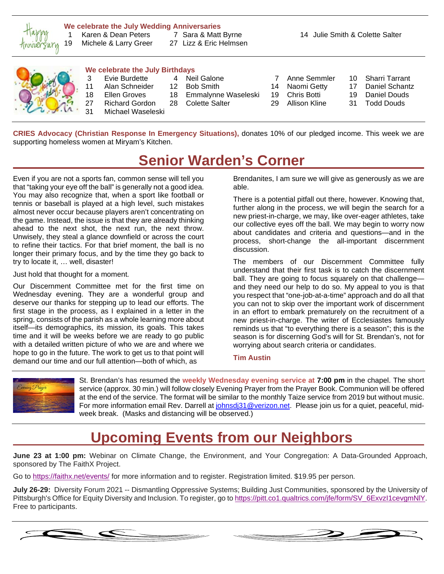

### **We celebrate the July Wedding Anniversaries**

19 Michele & Larry Greer 27 Lizz & Eric Helmsen

1 Karen & Dean Peters 7 Sara & Matt Byrne 14 Julie Smith & Colette Salter



### **We celebrate the July Birthdays**

- 
- 11 Alan Schneider 12 Bob Smith 14 Naomi Getty 17 Daniel Schantz<br>18 Ellen Groves 18 Emmalynne Waseleski 19 Chris Botti 19 Daniel Douds
- 
- Michael Waseleski
	-
- 
- 
- 18 Emmalynne Waseleski
- 27 Richard Gordon 28 Colette Salter 29 Allison Kline 31 Todd Douds
- -
	-
	-
- 3 Evie Burdette 4 Neil Galone 7 Anne Semmler 10 Sharri Tarrant
	-
	-

**CRIES Advocacy (Christian Response In Emergency Situations),** donates 10% of our pledged income. This week we are supporting homeless women at Miryam's Kitchen.

# **Senior Warden's Corner**

Even if you are not a sports fan, common sense will tell you that "taking your eye off the ball" is generally not a good idea. You may also recognize that, when a sport like football or tennis or baseball is played at a high level, such mistakes almost never occur because players aren't concentrating on the game. Instead, the issue is that they are already thinking ahead to the next shot, the next run, the next throw. Unwisely, they steal a glance downfield or across the court to refine their tactics. For that brief moment, the ball is no longer their primary focus, and by the time they go back to try to locate it, … well, disaster!

Just hold that thought for a moment.

Our Discernment Committee met for the first time on Wednesday evening. They are a wonderful group and deserve our thanks for stepping up to lead our efforts. The first stage in the process, as I explained in a letter in the spring, consists of the parish as a whole learning more about itself—its demographics, its mission, its goals. This takes time and it will be weeks before we are ready to go public with a detailed written picture of who we are and where we hope to go in the future. The work to get us to that point will demand our time and our full attention—both of which, as

Brendanites, I am sure we will give as generously as we are able.

There is a potential pitfall out there, however. Knowing that, further along in the process, we will begin the search for a new priest-in-charge, we may, like over-eager athletes, take our collective eyes off the ball. We may begin to worry now about candidates and criteria and questions—and in the process, short-change the all-important discernment discussion.

The members of our Discernment Committee fully understand that their first task is to catch the discernment ball. They are going to focus squarely on that challenge and they need our help to do so. My appeal to you is that you respect that "one-job-at-a-time" approach and do all that you can not to skip over the important work of discernment in an effort to embark prematurely on the recruitment of a new priest-in-charge. The writer of Ecclesiastes famously reminds us that "to everything there is a season"; this is the season is for discerning God's will for St. Brendan's, not for worrying about search criteria or candidates.

**Tim Austin**



St. Brendan's has resumed the **weekly Wednesday evening service at 7:00 pm** in the chapel. The short service (approx. 30 min.) will follow closely Evening Prayer from the Prayer Book. Communion will be offered at the end of the service. The format will be similar to the monthly Taize service from 2019 but without music. For more information email Rev. Darrell a[t johnsdj31@verizon.net.](mailto:johnsdj31@verizon.net) Please join us for a quiet, peaceful, midweek break. (Masks and distancing will be observed.)

## **Upcoming Events from our Neighbors**

**June 23 at 1:00 pm:** Webinar on Climate Change, the Environment, and Your Congregation: A Data-Grounded Approach, sponsored by The FaithX Project.

Go to <https://faithx.net/events/> for more information and to register. Registration limited. \$19.95 per person.

**July 26-29:** Diversity Forum 2021 -- Dismantling Oppressive Systems; Building Just Communities, sponsored by the University of Pittsburgh's Office for Equity Diversity and Inclusion. To register, go to [https://pitt.co1.qualtrics.com/jfe/form/SV\\_6ExvzI1cevgmNlY.](https://pitt.co1.qualtrics.com/jfe/form/SV_6ExvzI1cevgmNlY) Free to participants.



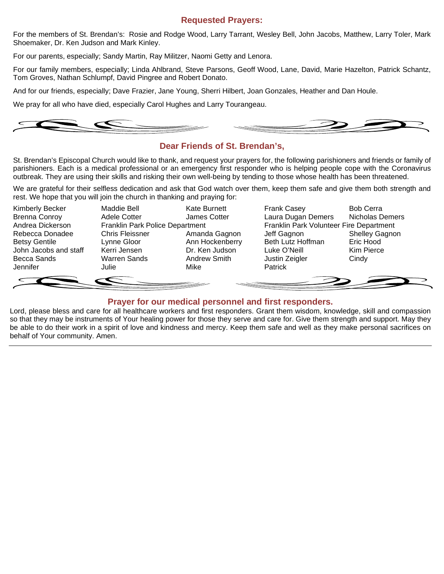## **Requested Prayers:**

For the members of St. Brendan's: Rosie and Rodge Wood, Larry Tarrant, Wesley Bell, John Jacobs, Matthew, Larry Toler, Mark Shoemaker, Dr. Ken Judson and Mark Kinley.

For our parents, especially; Sandy Martin, Ray Militzer, Naomi Getty and Lenora.

For our family members, especially; Linda Ahlbrand, Steve Parsons, Geoff Wood, Lane, David, Marie Hazelton, Patrick Schantz, Tom Groves, Nathan Schlumpf, David Pingree and Robert Donato.

And for our friends, especially; Dave Frazier, Jane Young, Sherri Hilbert, Joan Gonzales, Heather and Dan Houle.

We pray for all who have died, especially Carol Hughes and Larry Tourangeau.



## **Dear Friends of St. Brendan's,**

St. Brendan's Episcopal Church would like to thank, and request your prayers for, the following parishioners and friends or family of parishioners. Each is a medical professional or an emergency first responder who is helping people cope with the Coronavirus outbreak. They are using their skills and risking their own well-being by tending to those whose health has been threatened.

We are grateful for their selfless dedication and ask that God watch over them, keep them safe and give them both strength and rest. We hope that you will join the church in thanking and praying for:



## **Prayer for our medical personnel and first responders.**

Lord, please bless and care for all healthcare workers and first responders. Grant them wisdom, knowledge, skill and compassion so that they may be instruments of Your healing power for those they serve and care for. Give them strength and support. May they be able to do their work in a spirit of love and kindness and mercy. Keep them safe and well as they make personal sacrifices on behalf of Your community. Amen.